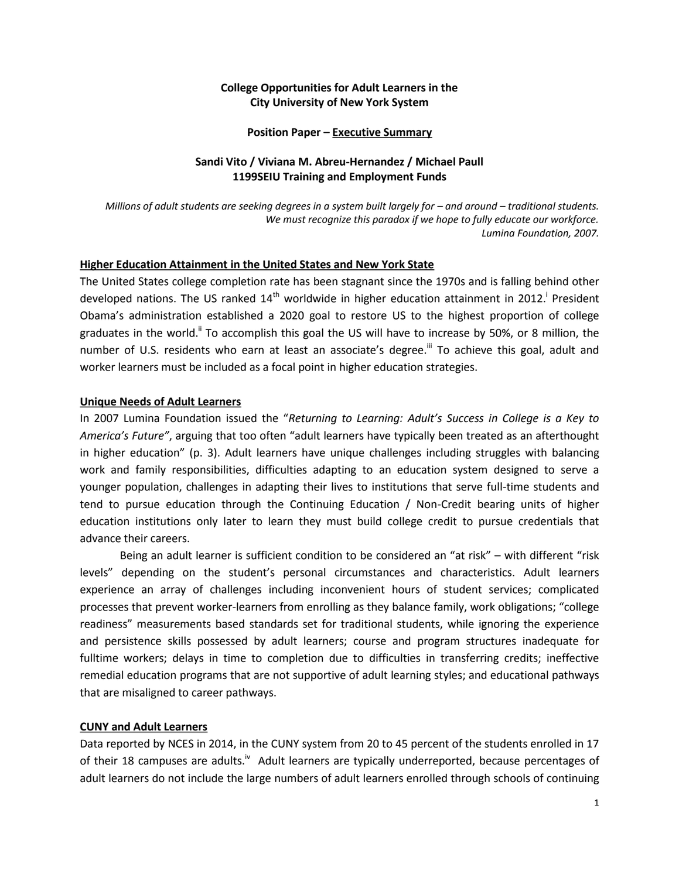## **College Opportunities for Adult Learners in the City University of New York System**

### **Position Paper – Executive Summary**

## **Sandi Vito / Viviana M. Abreu-Hernandez / Michael Paull 1199SEIU Training and Employment Funds**

*Millions of adult students are seeking degrees in a system built largely for – and around – traditional students. We must recognize this paradox if we hope to fully educate our workforce. Lumina Foundation, 2007.*

## **Higher Education Attainment in the United States and New York State**

The United States college completion rate has been stagnant since the 1970s and is falling behind other developed nations. The US ranked 14<sup>th</sup> worldwide in higher education attainment in 2012.<sup>i</sup> President Obama's administration established a 2020 goal to restore US to the highest proportion of college graduates in the world.<sup>"</sup> To accomplish this goal the US will have to increase by 50%, or 8 million, the number of U.S. residents who earn at least an associate's degree.<sup>III</sup> To achieve this goal, adult and worker learners must be included as a focal point in higher education strategies.

### **Unique Needs of Adult Learners**

In 2007 Lumina Foundation issued the "*Returning to Learning: Adult's Success in College is a Key to America's Future"*, arguing that too often "adult learners have typically been treated as an afterthought in higher education" (p. 3). Adult learners have unique challenges including struggles with balancing work and family responsibilities, difficulties adapting to an education system designed to serve a younger population, challenges in adapting their lives to institutions that serve full-time students and tend to pursue education through the Continuing Education / Non-Credit bearing units of higher education institutions only later to learn they must build college credit to pursue credentials that advance their careers.

Being an adult learner is sufficient condition to be considered an "at risk" – with different "risk levels" depending on the student's personal circumstances and characteristics. Adult learners experience an array of challenges including inconvenient hours of student services; complicated processes that prevent worker-learners from enrolling as they balance family, work obligations; "college readiness" measurements based standards set for traditional students, while ignoring the experience and persistence skills possessed by adult learners; course and program structures inadequate for fulltime workers; delays in time to completion due to difficulties in transferring credits; ineffective remedial education programs that are not supportive of adult learning styles; and educational pathways that are misaligned to career pathways.

## **CUNY and Adult Learners**

Data reported by NCES in 2014, in the CUNY system from 20 to 45 percent of the students enrolled in 17 of their 18 campuses are adults.<sup>iv</sup> Adult learners are typically underreported, because percentages of adult learners do not include the large numbers of adult learners enrolled through schools of continuing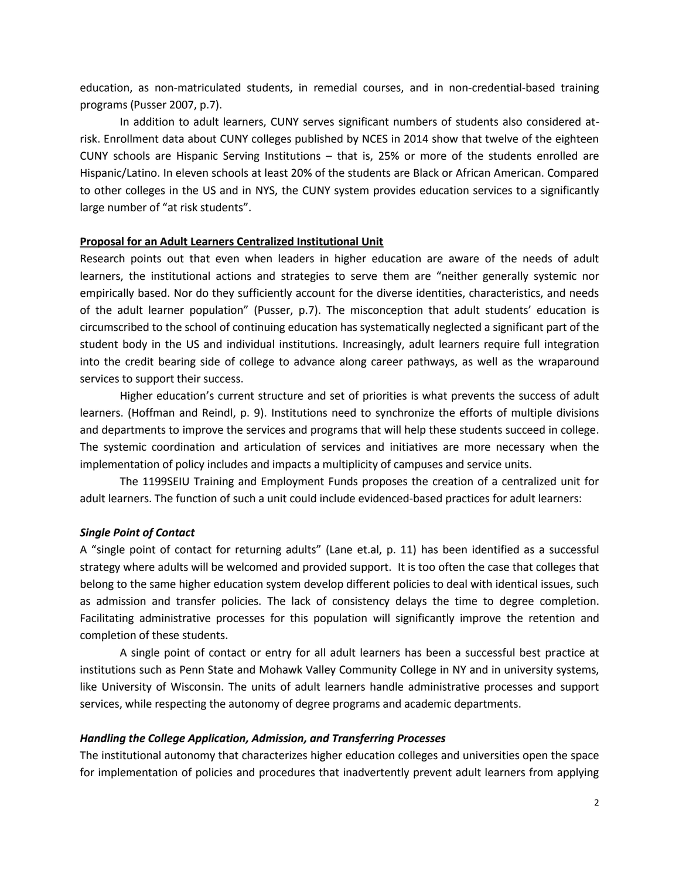education, as non-matriculated students, in remedial courses, and in non-credential-based training programs (Pusser 2007, p.7).

In addition to adult learners, CUNY serves significant numbers of students also considered atrisk. Enrollment data about CUNY colleges published by NCES in 2014 show that twelve of the eighteen CUNY schools are Hispanic Serving Institutions – that is, 25% or more of the students enrolled are Hispanic/Latino. In eleven schools at least 20% of the students are Black or African American. Compared to other colleges in the US and in NYS, the CUNY system provides education services to a significantly large number of "at risk students".

## **Proposal for an Adult Learners Centralized Institutional Unit**

Research points out that even when leaders in higher education are aware of the needs of adult learners, the institutional actions and strategies to serve them are "neither generally systemic nor empirically based. Nor do they sufficiently account for the diverse identities, characteristics, and needs of the adult learner population" (Pusser, p.7). The misconception that adult students' education is circumscribed to the school of continuing education has systematically neglected a significant part of the student body in the US and individual institutions. Increasingly, adult learners require full integration into the credit bearing side of college to advance along career pathways, as well as the wraparound services to support their success.

Higher education's current structure and set of priorities is what prevents the success of adult learners. (Hoffman and Reindl, p. 9). Institutions need to synchronize the efforts of multiple divisions and departments to improve the services and programs that will help these students succeed in college. The systemic coordination and articulation of services and initiatives are more necessary when the implementation of policy includes and impacts a multiplicity of campuses and service units.

The 1199SEIU Training and Employment Funds proposes the creation of a centralized unit for adult learners. The function of such a unit could include evidenced-based practices for adult learners:

#### *Single Point of Contact*

A "single point of contact for returning adults" (Lane et.al, p. 11) has been identified as a successful strategy where adults will be welcomed and provided support. It is too often the case that colleges that belong to the same higher education system develop different policies to deal with identical issues, such as admission and transfer policies. The lack of consistency delays the time to degree completion. Facilitating administrative processes for this population will significantly improve the retention and completion of these students.

A single point of contact or entry for all adult learners has been a successful best practice at institutions such as Penn State and Mohawk Valley Community College in NY and in university systems, like University of Wisconsin. The units of adult learners handle administrative processes and support services, while respecting the autonomy of degree programs and academic departments.

### *Handling the College Application, Admission, and Transferring Processes*

The institutional autonomy that characterizes higher education colleges and universities open the space for implementation of policies and procedures that inadvertently prevent adult learners from applying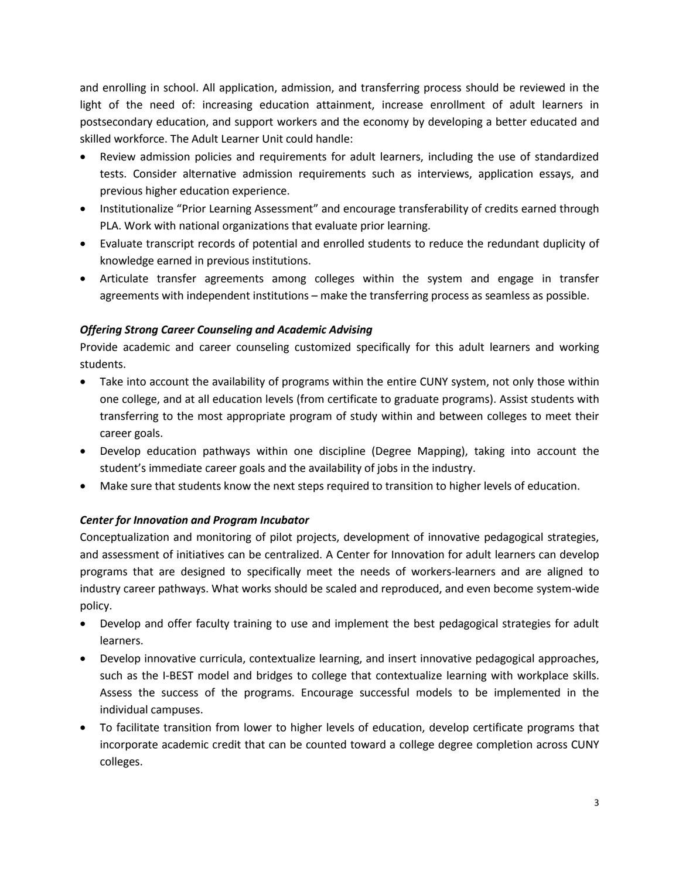and enrolling in school. All application, admission, and transferring process should be reviewed in the light of the need of: increasing education attainment, increase enrollment of adult learners in postsecondary education, and support workers and the economy by developing a better educated and skilled workforce. The Adult Learner Unit could handle:

- Review admission policies and requirements for adult learners, including the use of standardized tests. Consider alternative admission requirements such as interviews, application essays, and previous higher education experience.
- Institutionalize "Prior Learning Assessment" and encourage transferability of credits earned through PLA. Work with national organizations that evaluate prior learning.
- Evaluate transcript records of potential and enrolled students to reduce the redundant duplicity of knowledge earned in previous institutions.
- Articulate transfer agreements among colleges within the system and engage in transfer agreements with independent institutions – make the transferring process as seamless as possible.

# *Offering Strong Career Counseling and Academic Advising*

Provide academic and career counseling customized specifically for this adult learners and working students.

- Take into account the availability of programs within the entire CUNY system, not only those within one college, and at all education levels (from certificate to graduate programs). Assist students with transferring to the most appropriate program of study within and between colleges to meet their career goals.
- Develop education pathways within one discipline (Degree Mapping), taking into account the student's immediate career goals and the availability of jobs in the industry.
- Make sure that students know the next steps required to transition to higher levels of education.

# *Center for Innovation and Program Incubator*

Conceptualization and monitoring of pilot projects, development of innovative pedagogical strategies, and assessment of initiatives can be centralized. A Center for Innovation for adult learners can develop programs that are designed to specifically meet the needs of workers-learners and are aligned to industry career pathways. What works should be scaled and reproduced, and even become system-wide policy.

- Develop and offer faculty training to use and implement the best pedagogical strategies for adult learners.
- Develop innovative curricula, contextualize learning, and insert innovative pedagogical approaches, such as the I-BEST model and bridges to college that contextualize learning with workplace skills. Assess the success of the programs. Encourage successful models to be implemented in the individual campuses.
- To facilitate transition from lower to higher levels of education, develop certificate programs that incorporate academic credit that can be counted toward a college degree completion across CUNY colleges.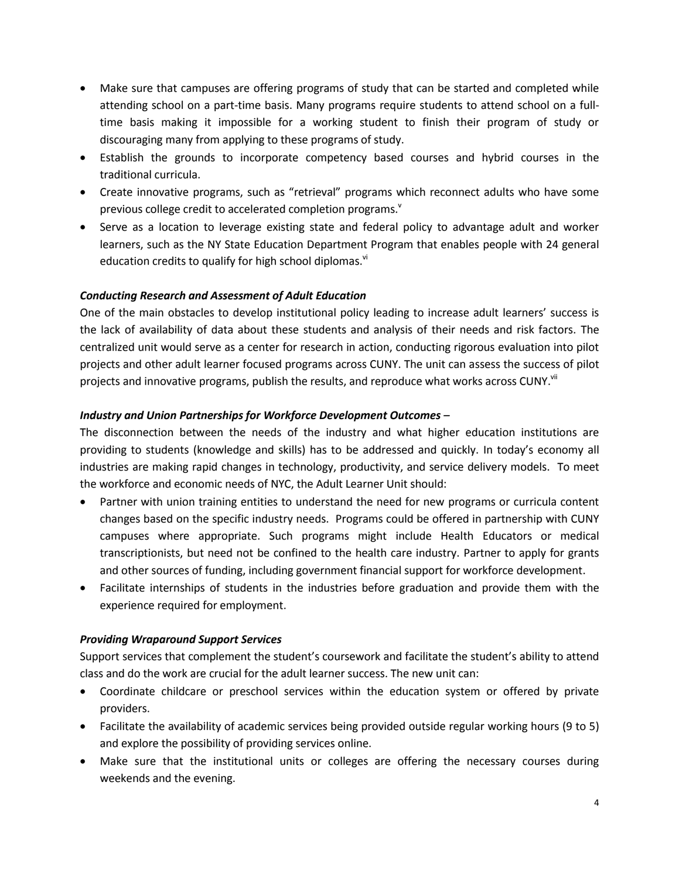- Make sure that campuses are offering programs of study that can be started and completed while attending school on a part-time basis. Many programs require students to attend school on a fulltime basis making it impossible for a working student to finish their program of study or discouraging many from applying to these programs of study.
- Establish the grounds to incorporate competency based courses and hybrid courses in the traditional curricula.
- Create innovative programs, such as "retrieval" programs which reconnect adults who have some previous college credit to accelerated completion programs.<sup>v</sup>
- Serve as a location to leverage existing state and federal policy to advantage adult and worker learners, such as the NY State Education Department Program that enables people with 24 general education credits to qualify for high school diplomas.<sup>vi</sup>

# *Conducting Research and Assessment of Adult Education*

One of the main obstacles to develop institutional policy leading to increase adult learners' success is the lack of availability of data about these students and analysis of their needs and risk factors. The centralized unit would serve as a center for research in action, conducting rigorous evaluation into pilot projects and other adult learner focused programs across CUNY. The unit can assess the success of pilot projects and innovative programs, publish the results, and reproduce what works across CUNY.<sup>vii</sup>

# *Industry and Union Partnerships for Workforce Development Outcomes –*

The disconnection between the needs of the industry and what higher education institutions are providing to students (knowledge and skills) has to be addressed and quickly. In today's economy all industries are making rapid changes in technology, productivity, and service delivery models. To meet the workforce and economic needs of NYC, the Adult Learner Unit should:

- Partner with union training entities to understand the need for new programs or curricula content changes based on the specific industry needs. Programs could be offered in partnership with CUNY campuses where appropriate. Such programs might include Health Educators or medical transcriptionists, but need not be confined to the health care industry. Partner to apply for grants and other sources of funding, including government financial support for workforce development.
- Facilitate internships of students in the industries before graduation and provide them with the experience required for employment.

## *Providing Wraparound Support Services*

Support services that complement the student's coursework and facilitate the student's ability to attend class and do the work are crucial for the adult learner success. The new unit can:

- Coordinate childcare or preschool services within the education system or offered by private providers.
- Facilitate the availability of academic services being provided outside regular working hours (9 to 5) and explore the possibility of providing services online.
- Make sure that the institutional units or colleges are offering the necessary courses during weekends and the evening.